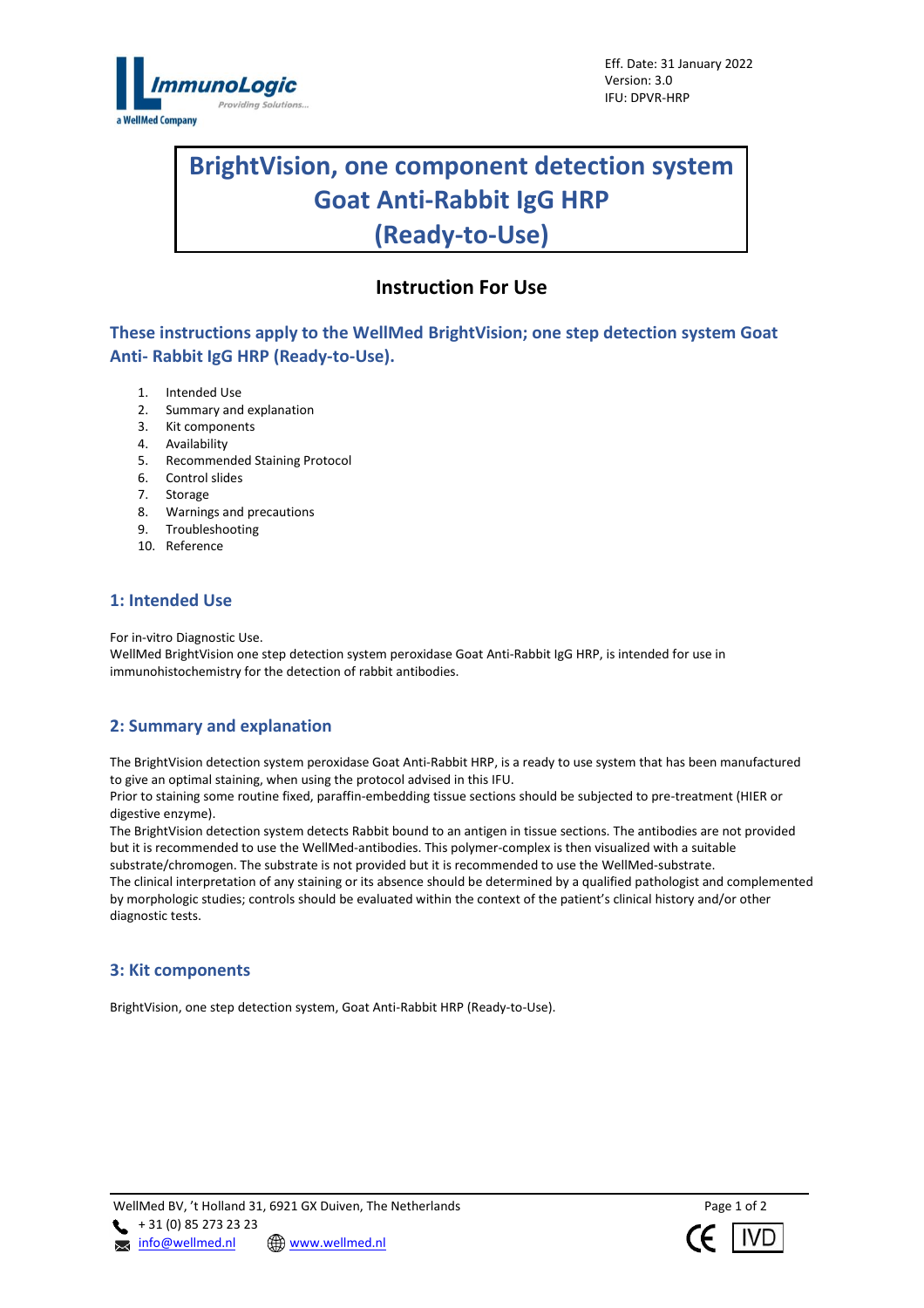

# **BrightVision, one component detection system Goat Anti-Rabbit IgG HRP (Ready-to-Use)**

l

# **Instruction For Use**

**These instructions apply to the WellMed BrightVision; one step detection system Goat Anti- Rabbit IgG HRP (Ready-to-Use).**

- 1. Intended Use
- 2. Summary and explanation
- 2. Summary and ex-<br>3. Kit components
- 4. Availability
- 5. Recommended Staining Protocol
- 6. Control slides
- 7. Storage
- 8. Warnings and precautions
- 9. Troubleshooting
- 10. Reference

# **1: Intended Use**

For in-vitro Diagnostic Use.

WellMed BrightVision one step detection system peroxidase Goat Anti-Rabbit IgG HRP, is intended for use in immunohistochemistry for the detection of rabbit antibodies.

# **2: Summary and explanation**

The BrightVision detection system peroxidase Goat Anti-Rabbit HRP, is a ready to use system that has been manufactured to give an optimal staining, when using the protocol advised in this IFU.

Prior to staining some routine fixed, paraffin-embedding tissue sections should be subjected to pre-treatment (HIER or digestive enzyme).

The BrightVision detection system detects Rabbit bound to an antigen in tissue sections. The antibodies are not provided but it is recommended to use the WellMed-antibodies. This polymer-complex is then visualized with a suitable substrate/chromogen. The substrate is not provided but it is recommended to use the WellMed-substrate. The clinical interpretation of any staining or its absence should be determined by a qualified pathologist and complemented by morphologic studies; controls should be evaluated within the context of the patient's clinical history and/or other diagnostic tests.

#### **3: Kit components**

BrightVision, one step detection system, Goat Anti-Rabbit HRP (Ready-to-Use).